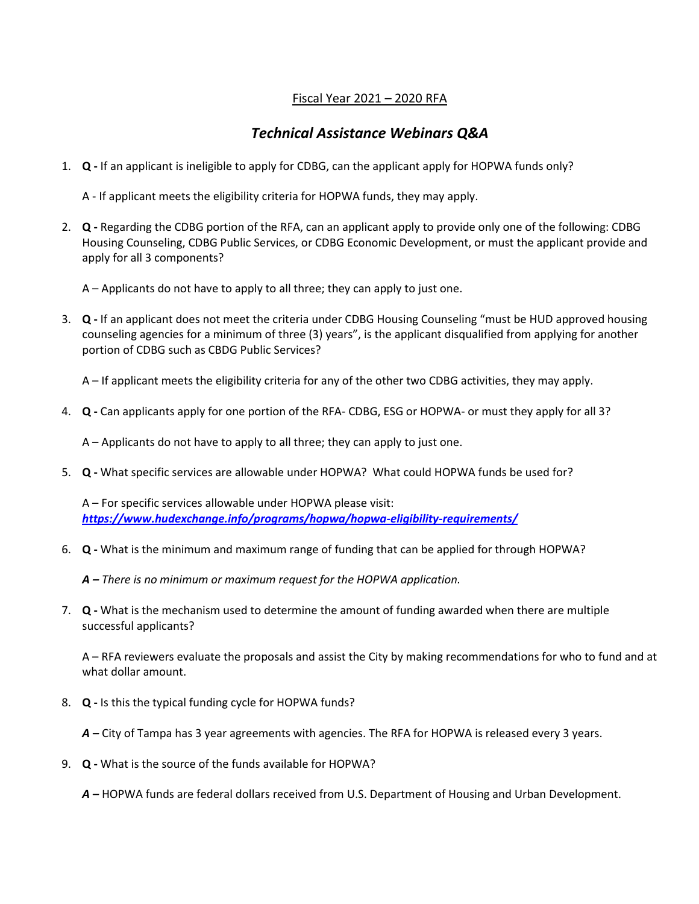## Fiscal Year 2021 – 2020 RFA

## *Technical Assistance Webinars Q&A*

1. **Q -** If an applicant is ineligible to apply for CDBG, can the applicant apply for HOPWA funds only?

A - If applicant meets the eligibility criteria for HOPWA funds, they may apply.

2. **Q -** Regarding the CDBG portion of the RFA, can an applicant apply to provide only one of the following: CDBG Housing Counseling, CDBG Public Services, or CDBG Economic Development, or must the applicant provide and apply for all 3 components?

A – Applicants do not have to apply to all three; they can apply to just one.

3. **Q -** If an applicant does not meet the criteria under CDBG Housing Counseling "must be HUD approved housing counseling agencies for a minimum of three (3) years", is the applicant disqualified from applying for another portion of CDBG such as CBDG Public Services?

A – If applicant meets the eligibility criteria for any of the other two CDBG activities, they may apply.

4. **Q -** Can applicants apply for one portion of the RFA- CDBG, ESG or HOPWA- or must they apply for all 3?

A – Applicants do not have to apply to all three; they can apply to just one.

5. **Q -** What specific services are allowable under HOPWA? What could HOPWA funds be used for?

A – For specific services allowable under HOPWA please visit: *<https://www.hudexchange.info/programs/hopwa/hopwa-eligibility-requirements/>*

6. **Q -** What is the minimum and maximum range of funding that can be applied for through HOPWA?

*A – There is no minimum or maximum request for the HOPWA application.*

7. **Q -** What is the mechanism used to determine the amount of funding awarded when there are multiple successful applicants?

A – RFA reviewers evaluate the proposals and assist the City by making recommendations for who to fund and at what dollar amount.

8. **Q -** Is this the typical funding cycle for HOPWA funds?

*A –* City of Tampa has 3 year agreements with agencies. The RFA for HOPWA is released every 3 years.

9. **Q -** What is the source of the funds available for HOPWA?

*A –* HOPWA funds are federal dollars received from U.S. Department of Housing and Urban Development.